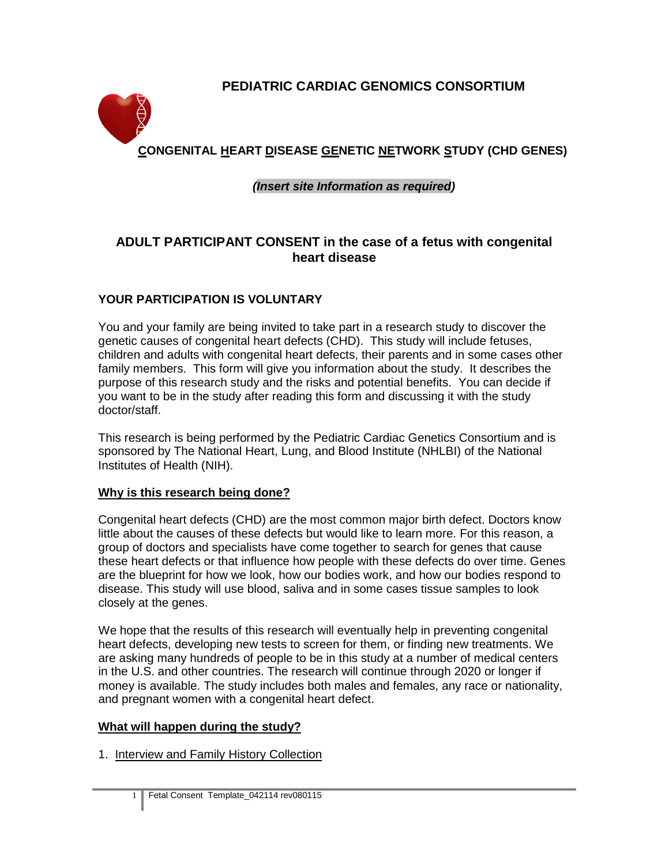# **PEDIATRIC CARDIAC GENOMICS CONSORTIUM**



# *(Insert site Information as required)*

# **ADULT PARTICIPANT CONSENT in the case of a fetus with congenital heart disease**

### **YOUR PARTICIPATION IS VOLUNTARY**

You and your family are being invited to take part in a research study to discover the genetic causes of congenital heart defects (CHD). This study will include fetuses, children and adults with congenital heart defects, their parents and in some cases other family members. This form will give you information about the study. It describes the purpose of this research study and the risks and potential benefits. You can decide if you want to be in the study after reading this form and discussing it with the study doctor/staff.

This research is being performed by the Pediatric Cardiac Genetics Consortium and is sponsored by The National Heart, Lung, and Blood Institute (NHLBI) of the National Institutes of Health (NIH).

#### **Why is this research being done?**

Congenital heart defects (CHD) are the most common major birth defect. Doctors know little about the causes of these defects but would like to learn more. For this reason, a group of doctors and specialists have come together to search for genes that cause these heart defects or that influence how people with these defects do over time. Genes are the blueprint for how we look, how our bodies work, and how our bodies respond to disease. This study will use blood, saliva and in some cases tissue samples to look closely at the genes.

We hope that the results of this research will eventually help in preventing congenital heart defects, developing new tests to screen for them, or finding new treatments. We are asking many hundreds of people to be in this study at a number of medical centers in the U.S. and other countries. The research will continue through 2020 or longer if money is available. The study includes both males and females, any race or nationality, and pregnant women with a congenital heart defect.

#### **What will happen during the study?**

1. Interview and Family History Collection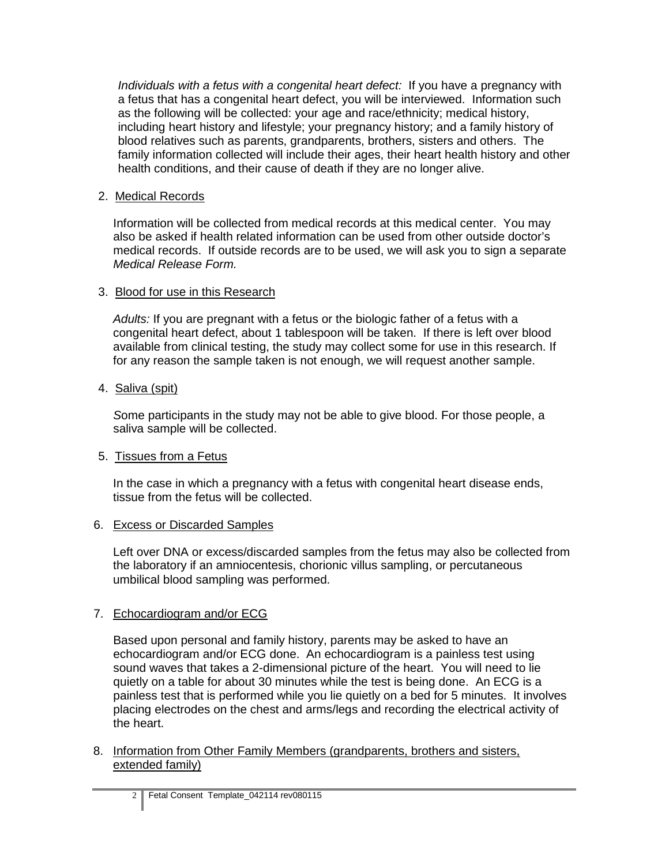*Individuals with a fetus with a congenital heart defect:* If you have a pregnancy with a fetus that has a congenital heart defect, you will be interviewed. Information such as the following will be collected: your age and race/ethnicity; medical history, including heart history and lifestyle; your pregnancy history; and a family history of blood relatives such as parents, grandparents, brothers, sisters and others. The family information collected will include their ages, their heart health history and other health conditions, and their cause of death if they are no longer alive.

### 2. Medical Records

Information will be collected from medical records at this medical center. You may also be asked if health related information can be used from other outside doctor's medical records. If outside records are to be used, we will ask you to sign a separate *Medical Release Form.*

### 3. Blood for use in this Research

*Adults:* If you are pregnant with a fetus or the biologic father of a fetus with a congenital heart defect, about 1 tablespoon will be taken. If there is left over blood available from clinical testing, the study may collect some for use in this research. If for any reason the sample taken is not enough, we will request another sample.

#### 4. Saliva (spit)

 *S*ome participants in the study may not be able to give blood. For those people, a saliva sample will be collected.

# 5. Tissues from a Fetus

In the case in which a pregnancy with a fetus with congenital heart disease ends, tissue from the fetus will be collected.

#### 6. Excess or Discarded Samples

Left over DNA or excess/discarded samples from the fetus may also be collected from the laboratory if an amniocentesis, chorionic villus sampling, or percutaneous umbilical blood sampling was performed.

# 7. Echocardiogram and/or ECG

Based upon personal and family history, parents may be asked to have an echocardiogram and/or ECG done. An echocardiogram is a painless test using sound waves that takes a 2-dimensional picture of the heart. You will need to lie quietly on a table for about 30 minutes while the test is being done. An ECG is a painless test that is performed while you lie quietly on a bed for 5 minutes. It involves placing electrodes on the chest and arms/legs and recording the electrical activity of the heart.

#### 8. Information from Other Family Members (grandparents, brothers and sisters, extended family)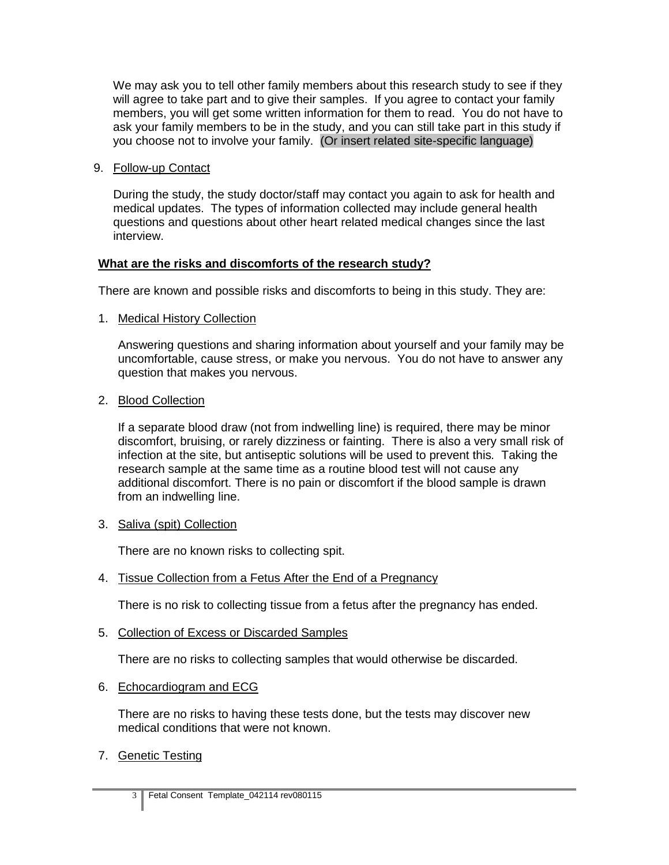We may ask you to tell other family members about this research study to see if they will agree to take part and to give their samples. If you agree to contact your family members, you will get some written information for them to read. You do not have to ask your family members to be in the study, and you can still take part in this study if you choose not to involve your family. (Or insert related site-specific language)

9. Follow-up Contact

During the study, the study doctor/staff may contact you again to ask for health and medical updates. The types of information collected may include general health questions and questions about other heart related medical changes since the last interview.

### **What are the risks and discomforts of the research study?**

There are known and possible risks and discomforts to being in this study. They are:

1. Medical History Collection

Answering questions and sharing information about yourself and your family may be uncomfortable, cause stress, or make you nervous. You do not have to answer any question that makes you nervous.

2. Blood Collection

If a separate blood draw (not from indwelling line) is required, there may be minor discomfort, bruising, or rarely dizziness or fainting. There is also a very small risk of infection at the site, but antiseptic solutions will be used to prevent this*.* Taking the research sample at the same time as a routine blood test will not cause any additional discomfort. There is no pain or discomfort if the blood sample is drawn from an indwelling line.

3. Saliva (spit) Collection

There are no known risks to collecting spit.

4. Tissue Collection from a Fetus After the End of a Pregnancy

There is no risk to collecting tissue from a fetus after the pregnancy has ended.

5. Collection of Excess or Discarded Samples

There are no risks to collecting samples that would otherwise be discarded.

6. Echocardiogram and ECG

There are no risks to having these tests done, but the tests may discover new medical conditions that were not known.

7. Genetic Testing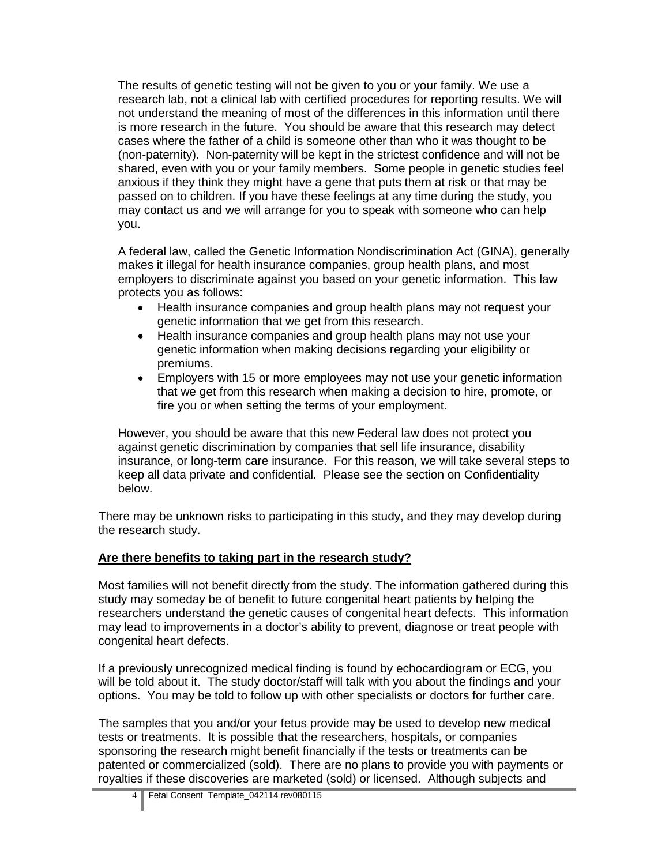The results of genetic testing will not be given to you or your family. We use a research lab, not a clinical lab with certified procedures for reporting results. We will not understand the meaning of most of the differences in this information until there is more research in the future. You should be aware that this research may detect cases where the father of a child is someone other than who it was thought to be (non-paternity). Non-paternity will be kept in the strictest confidence and will not be shared, even with you or your family members. Some people in genetic studies feel anxious if they think they might have a gene that puts them at risk or that may be passed on to children. If you have these feelings at any time during the study, you may contact us and we will arrange for you to speak with someone who can help you.

A federal law, called the Genetic Information Nondiscrimination Act (GINA), generally makes it illegal for health insurance companies, group health plans, and most employers to discriminate against you based on your genetic information. This law protects you as follows:

- Health insurance companies and group health plans may not request your genetic information that we get from this research.
- Health insurance companies and group health plans may not use your genetic information when making decisions regarding your eligibility or premiums.
- Employers with 15 or more employees may not use your genetic information that we get from this research when making a decision to hire, promote, or fire you or when setting the terms of your employment.

However, you should be aware that this new Federal law does not protect you against genetic discrimination by companies that sell life insurance, disability insurance, or long-term care insurance. For this reason, we will take several steps to keep all data private and confidential. Please see the section on Confidentiality below.

There may be unknown risks to participating in this study, and they may develop during the research study.

# **Are there benefits to taking part in the research study?**

Most families will not benefit directly from the study. The information gathered during this study may someday be of benefit to future congenital heart patients by helping the researchers understand the genetic causes of congenital heart defects. This information may lead to improvements in a doctor's ability to prevent, diagnose or treat people with congenital heart defects.

If a previously unrecognized medical finding is found by echocardiogram or ECG, you will be told about it. The study doctor/staff will talk with you about the findings and your options. You may be told to follow up with other specialists or doctors for further care.

The samples that you and/or your fetus provide may be used to develop new medical tests or treatments. It is possible that the researchers, hospitals, or companies sponsoring the research might benefit financially if the tests or treatments can be patented or commercialized (sold). There are no plans to provide you with payments or royalties if these discoveries are marketed (sold) or licensed. Although subjects and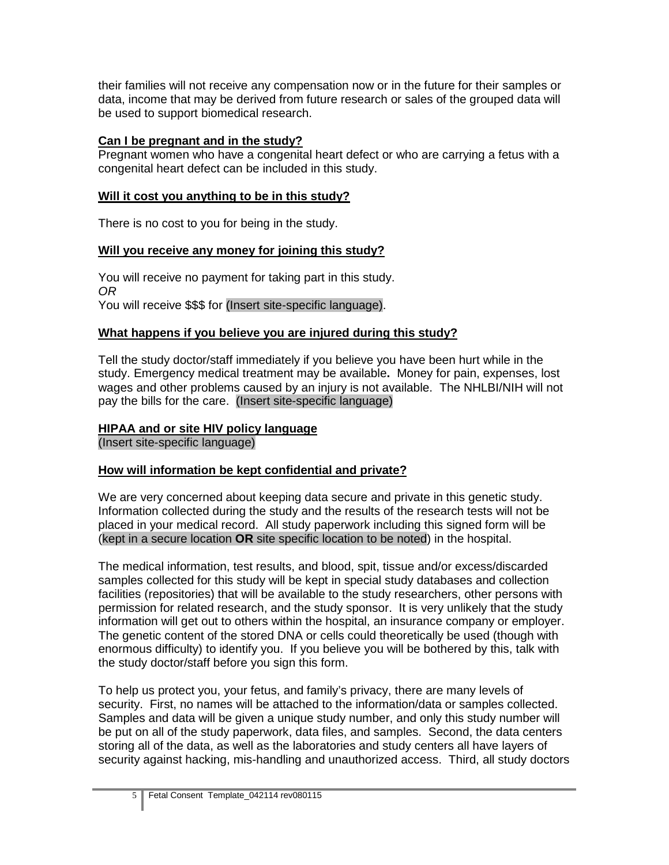their families will not receive any compensation now or in the future for their samples or data, income that may be derived from future research or sales of the grouped data will be used to support biomedical research.

### **Can I be pregnant and in the study?**

Pregnant women who have a congenital heart defect or who are carrying a fetus with a congenital heart defect can be included in this study.

### **Will it cost you anything to be in this study?**

There is no cost to you for being in the study.

### **Will you receive any money for joining this study?**

You will receive no payment for taking part in this study. *OR* You will receive \$\$\$ for (Insert site-specific language).

# **What happens if you believe you are injured during this study?**

Tell the study doctor/staff immediately if you believe you have been hurt while in the study. Emergency medical treatment may be available**.** Money for pain, expenses, lost wages and other problems caused by an injury is not available. The NHLBI/NIH will not pay the bills for the care. (Insert site-specific language)

# **HIPAA and or site HIV policy language**

(Insert site-specific language)

# **How will information be kept confidential and private?**

We are very concerned about keeping data secure and private in this genetic study. Information collected during the study and the results of the research tests will not be placed in your medical record. All study paperwork including this signed form will be (kept in a secure location **OR** site specific location to be noted) in the hospital.

The medical information, test results, and blood, spit, tissue and/or excess/discarded samples collected for this study will be kept in special study databases and collection facilities (repositories) that will be available to the study researchers, other persons with permission for related research, and the study sponsor. It is very unlikely that the study information will get out to others within the hospital, an insurance company or employer. The genetic content of the stored DNA or cells could theoretically be used (though with enormous difficulty) to identify you. If you believe you will be bothered by this, talk with the study doctor/staff before you sign this form.

To help us protect you, your fetus, and family's privacy, there are many levels of security. First, no names will be attached to the information/data or samples collected. Samples and data will be given a unique study number, and only this study number will be put on all of the study paperwork, data files, and samples. Second, the data centers storing all of the data, as well as the laboratories and study centers all have layers of security against hacking, mis-handling and unauthorized access. Third, all study doctors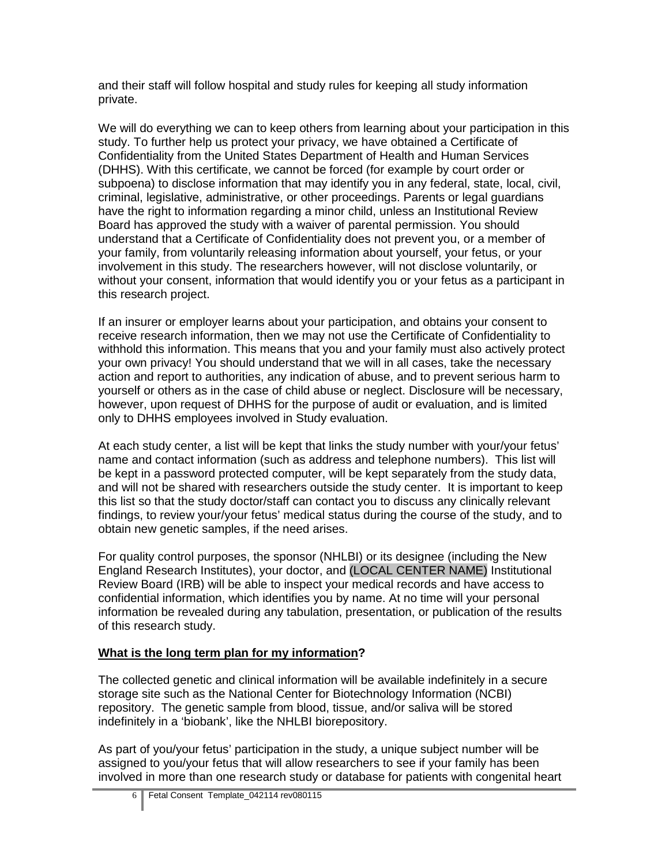and their staff will follow hospital and study rules for keeping all study information private.

We will do everything we can to keep others from learning about your participation in this study. To further help us protect your privacy, we have obtained a Certificate of Confidentiality from the United States Department of Health and Human Services (DHHS). With this certificate, we cannot be forced (for example by court order or subpoena) to disclose information that may identify you in any federal, state, local, civil, criminal, legislative, administrative, or other proceedings. Parents or legal guardians have the right to information regarding a minor child, unless an Institutional Review Board has approved the study with a waiver of parental permission. You should understand that a Certificate of Confidentiality does not prevent you, or a member of your family, from voluntarily releasing information about yourself, your fetus, or your involvement in this study. The researchers however, will not disclose voluntarily, or without your consent, information that would identify you or your fetus as a participant in this research project.

If an insurer or employer learns about your participation, and obtains your consent to receive research information, then we may not use the Certificate of Confidentiality to withhold this information. This means that you and your family must also actively protect your own privacy! You should understand that we will in all cases, take the necessary action and report to authorities, any indication of abuse, and to prevent serious harm to yourself or others as in the case of child abuse or neglect. Disclosure will be necessary, however, upon request of DHHS for the purpose of audit or evaluation, and is limited only to DHHS employees involved in Study evaluation.

At each study center, a list will be kept that links the study number with your/your fetus' name and contact information (such as address and telephone numbers). This list will be kept in a password protected computer, will be kept separately from the study data, and will not be shared with researchers outside the study center. It is important to keep this list so that the study doctor/staff can contact you to discuss any clinically relevant findings, to review your/your fetus' medical status during the course of the study, and to obtain new genetic samples, if the need arises.

For quality control purposes, the sponsor (NHLBI) or its designee (including the New England Research Institutes), your doctor, and (LOCAL CENTER NAME) Institutional Review Board (IRB) will be able to inspect your medical records and have access to confidential information, which identifies you by name. At no time will your personal information be revealed during any tabulation, presentation, or publication of the results of this research study.

# **What is the long term plan for my information?**

The collected genetic and clinical information will be available indefinitely in a secure storage site such as the National Center for Biotechnology Information (NCBI) repository. The genetic sample from blood, tissue, and/or saliva will be stored indefinitely in a 'biobank', like the NHLBI biorepository.

As part of you/your fetus' participation in the study, a unique subject number will be assigned to you/your fetus that will allow researchers to see if your family has been involved in more than one research study or database for patients with congenital heart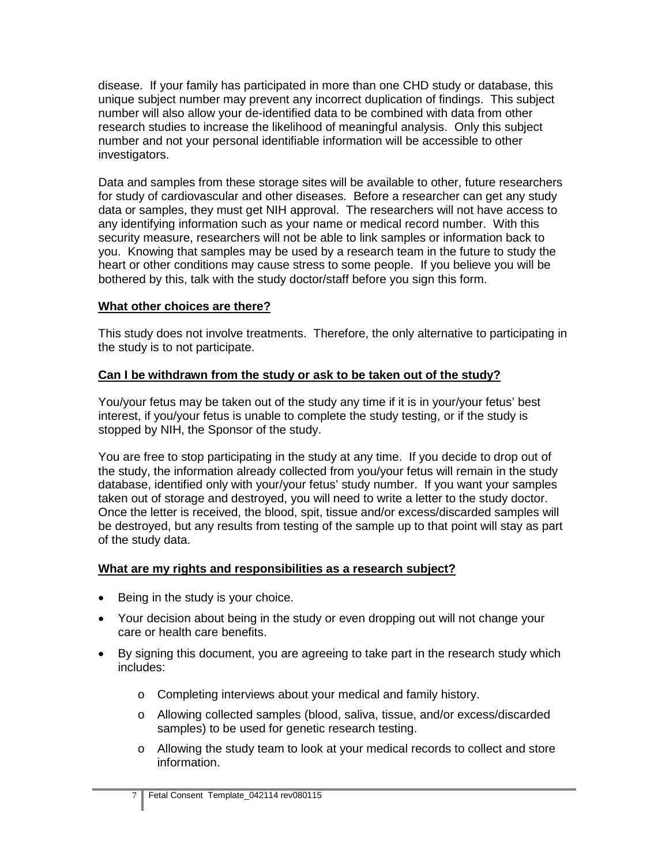disease. If your family has participated in more than one CHD study or database, this unique subject number may prevent any incorrect duplication of findings. This subject number will also allow your de-identified data to be combined with data from other research studies to increase the likelihood of meaningful analysis. Only this subject number and not your personal identifiable information will be accessible to other investigators.

Data and samples from these storage sites will be available to other, future researchers for study of cardiovascular and other diseases. Before a researcher can get any study data or samples, they must get NIH approval. The researchers will not have access to any identifying information such as your name or medical record number. With this security measure, researchers will not be able to link samples or information back to you. Knowing that samples may be used by a research team in the future to study the heart or other conditions may cause stress to some people. If you believe you will be bothered by this, talk with the study doctor/staff before you sign this form.

#### **What other choices are there?**

This study does not involve treatments. Therefore, the only alternative to participating in the study is to not participate.

### **Can I be withdrawn from the study or ask to be taken out of the study?**

You/your fetus may be taken out of the study any time if it is in your/your fetus' best interest, if you/your fetus is unable to complete the study testing, or if the study is stopped by NIH, the Sponsor of the study.

You are free to stop participating in the study at any time. If you decide to drop out of the study, the information already collected from you/your fetus will remain in the study database, identified only with your/your fetus' study number. If you want your samples taken out of storage and destroyed, you will need to write a letter to the study doctor. Once the letter is received, the blood, spit, tissue and/or excess/discarded samples will be destroyed, but any results from testing of the sample up to that point will stay as part of the study data.

#### **What are my rights and responsibilities as a research subject?**

- Being in the study is your choice.
- Your decision about being in the study or even dropping out will not change your care or health care benefits.
- By signing this document, you are agreeing to take part in the research study which includes:
	- o Completing interviews about your medical and family history.
	- o Allowing collected samples (blood, saliva, tissue, and/or excess/discarded samples) to be used for genetic research testing.
	- o Allowing the study team to look at your medical records to collect and store information.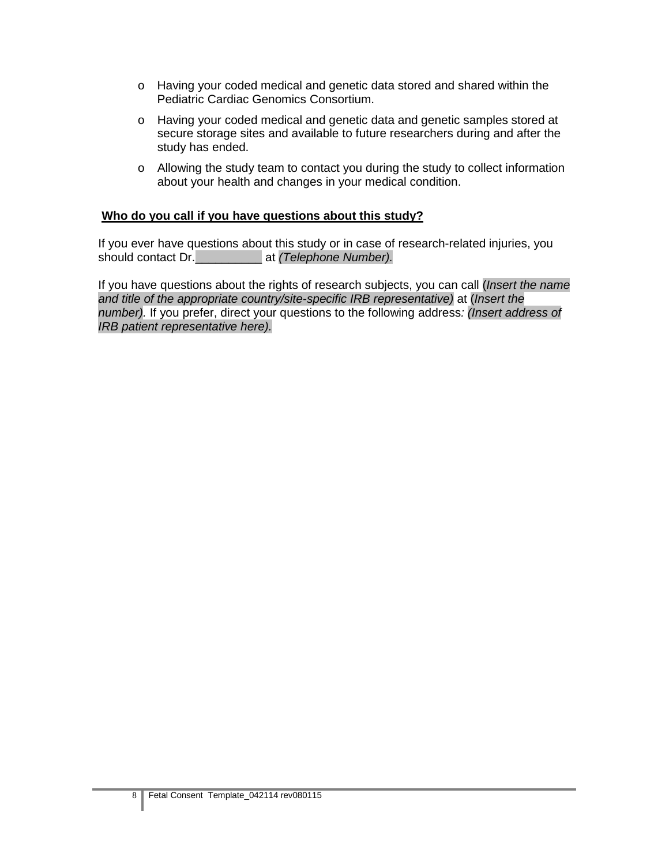- o Having your coded medical and genetic data stored and shared within the Pediatric Cardiac Genomics Consortium.
- o Having your coded medical and genetic data and genetic samples stored at secure storage sites and available to future researchers during and after the study has ended.
- o Allowing the study team to contact you during the study to collect information about your health and changes in your medical condition.

#### **Who do you call if you have questions about this study?**

If you ever have questions about this study or in case of research-related injuries, you should contact Dr.\_\_\_\_\_\_\_\_\_\_ at *(Telephone Number).* 

If you have questions about the rights of research subjects, you can call (*Insert the name and title of the appropriate country/site-specific IRB representative)* at (*Insert the number).* If you prefer, direct your questions to the following address*: (Insert address of IRB patient representative here).*